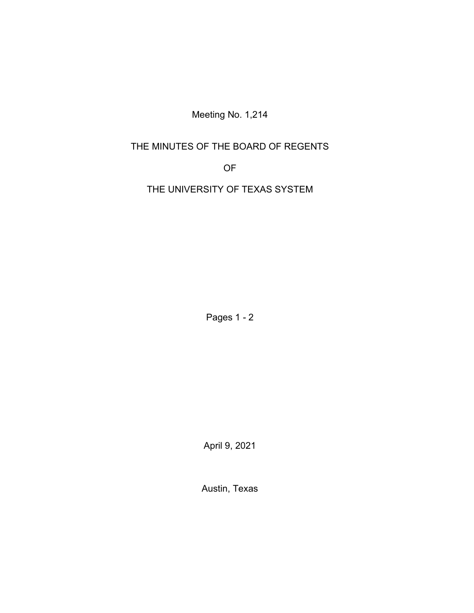Meeting No. 1,214

# THE MINUTES OF THE BOARD OF REGENTS

OF

THE UNIVERSITY OF TEXAS SYSTEM

Pages 1 - 2

April 9, 2021

Austin, Texas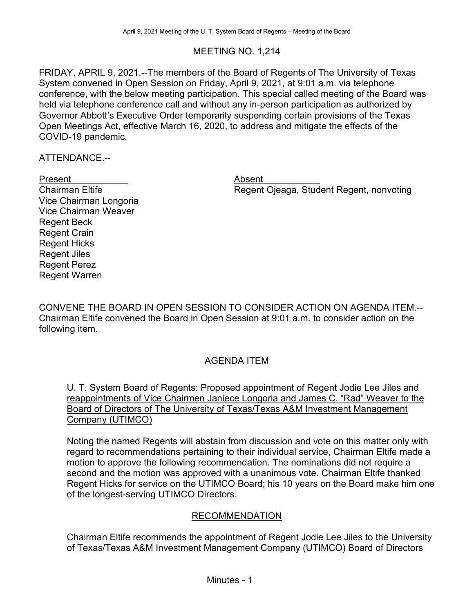## MEETING NO. 1,214

FRIDAY, APRIL 9, 2021.--The members of the Board of Regents of The University of Texas System convened in Open Session on Friday, April 9, 2021, at 9:01 a.m. via telephone conference, with the below meeting participation. This special called meeting of the Board was held via telephone conference call and without any in-person participation as authorized by Governor Abbott's Executive Order temporarily suspending certain provisions of the Texas Open Meetings Act, effective March 16, 2020, to address and mitigate the effects of the COVID-19 pandemic.

ATTENDANCE.--

#### Present **Absent**

Vice Chairman Longoria Vice Chairman Weaver Regent Beck Regent Crain Regent Hicks Regent Jiles Regent Perez Regent Warren

Chairman Eltife **Regent Ojeaga, Student Regent, nonvoting** 

CONVENE THE BOARD IN OPEN SESSION TO CONSIDER ACTION ON AGENDA ITEM.-- Chairman Eltife convened the Board in Open Session at 9:01 a.m. to consider action on the following item.

# AGENDA ITEM

U. T. System Board of Regents: Proposed appointment of Regent Jodie Lee Jiles and reappointments of Vice Chairmen Janiece Longoria and James C. "Rad" Weaver to the Board of Directors of The University of Texas/Texas A&M Investment Management Company (UTIMCO)

Noting the named Regents will abstain from discussion and vote on this matter only with regard to recommendations pertaining to their individual service, Chairman Eltife made a motion to approve the following recommendation. The nominations did not require a second and the motion was approved with a unanimous vote. Chairman Eltife thanked Regent Hicks for service on the UTIMCO Board; his 10 years on the Board make him one of the longest-serving UTIMCO Directors.

#### RECOMMENDATION

Chairman Eltife recommends the appointment of Regent Jodie Lee Jiles to the University of Texas/Texas A&M Investment Management Company (UTIMCO) Board of Directors